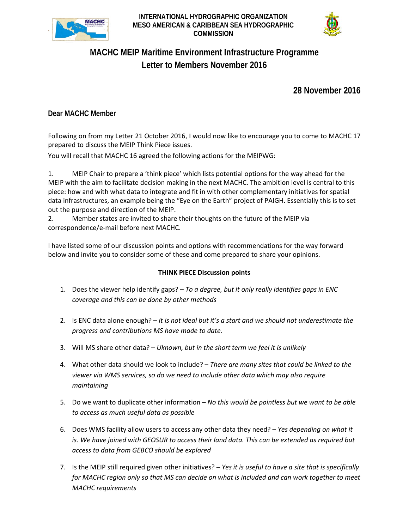

**INTERNATIONAL HYDROGRAPHIC ORGANIZATION MESO AMERICAN & CARIBBEAN SEA HYDROGRAPHIC COMMISSION**



# **MACHC MEIP Maritime Environment Infrastructure Programme Letter to Members November 2016**

**28 November 2016**

## **Dear MACHC Member**

Following on from my Letter 21 October 2016, I would now like to encourage you to come to MACHC 17 prepared to discuss the MEIP Think Piece issues.

You will recall that MACHC 16 agreed the following actions for the MEIPWG:

1. MEIP Chair to prepare a 'think piece' which lists potential options for the way ahead for the MEIP with the aim to facilitate decision making in the next MACHC. The ambition level is central to this piece: how and with what data to integrate and fit in with other complementary initiatives for spatial data infrastructures, an example being the "Eye on the Earth" project of PAIGH. Essentially this is to set out the purpose and direction of the MEIP.

2. Member states are invited to share their thoughts on the future of the MEIP via correspondence/e-mail before next MACHC.

I have listed some of our discussion points and options with recommendations for the way forward below and invite you to consider some of these and come prepared to share your opinions.

### **THINK PIECE Discussion points**

- 1. Does the viewer help identify gaps? *To a degree, but it only really identifies gaps in ENC coverage and this can be done by other methods*
- 2. Is ENC data alone enough? *It is not ideal but it's a start and we should not underestimate the progress and contributions MS have made to date.*
- 3. Will MS share other data? *Uknown, but in the short term we feel it is unlikely*
- 4. What other data should we look to include? *There are many sites that could be linked to the viewer via WMS services, so do we need to include other data which may also require maintaining*
- 5. Do we want to duplicate other information *No this would be pointless but we want to be able to access as much useful data as possible*
- 6. Does WMS facility allow users to access any other data they need? *Yes depending on what it is. We have joined with GEOSUR to access their land data. This can be extended as required but access to data from GEBCO should be explored*
- 7. Is the MEIP still required given other initiatives? *Yes it is useful to have a site that is specifically for MACHC region only so that MS can decide on what is included and can work together to meet MACHC requirements*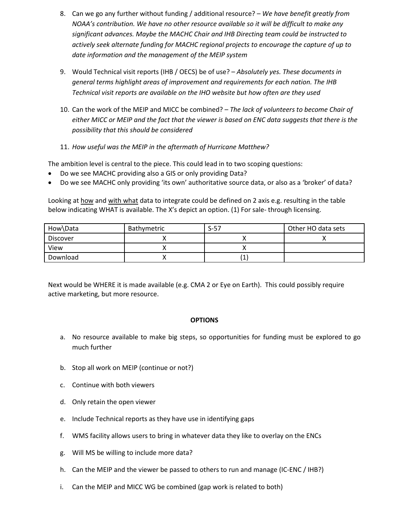- 8. Can we go any further without funding / additional resource? *We have benefit greatly from NOAA's contribution. We have no other resource available so it will be difficult to make any significant advances. Maybe the MACHC Chair and IHB Directing team could be instructed to actively seek alternate funding for MACHC regional projects to encourage the capture of up to date information and the management of the MEIP system*
- 9. Would Technical visit reports (IHB / OECS) be of use? *Absolutely yes. These documents in general terms highlight areas of improvement and requirements for each nation. The IHB Technical visit reports are available on the IHO website but how often are they used*
- 10. Can the work of the MEIP and MICC be combined? *The lack of volunteers to become Chair of either MICC or MEIP and the fact that the viewer is based on ENC data suggests that there is the possibility that this should be considered*
- 11. *How useful was the MEIP in the aftermath of Hurricane Matthew?*

The ambition level is central to the piece. This could lead in to two scoping questions:

- Do we see MACHC providing also a GIS or only providing Data?
- Do we see MACHC only providing 'its own' authoritative source data, or also as a 'broker' of data?

Looking at how and with what data to integrate could be defined on 2 axis e.g. resulting in the table below indicating WHAT is available. The X's depict an option. (1) For sale- through licensing.

| How\Data        | <b>Bathymetric</b> | $S-57$ | Other HO data sets |
|-----------------|--------------------|--------|--------------------|
| <b>Discover</b> |                    |        |                    |
| View            |                    |        |                    |
| Download        |                    | (1     |                    |

Next would be WHERE it is made available (e.g. CMA 2 or Eye on Earth). This could possibly require active marketing, but more resource.

### **OPTIONS**

- a. No resource available to make big steps, so opportunities for funding must be explored to go much further
- b. Stop all work on MEIP (continue or not?)
- c. Continue with both viewers
- d. Only retain the open viewer
- e. Include Technical reports as they have use in identifying gaps
- f. WMS facility allows users to bring in whatever data they like to overlay on the ENCs
- g. Will MS be willing to include more data?
- h. Can the MEIP and the viewer be passed to others to run and manage (IC-ENC / IHB?)
- i. Can the MEIP and MICC WG be combined (gap work is related to both)